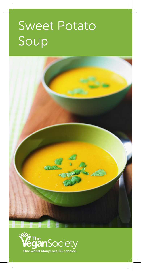## Sweet Potato Soup